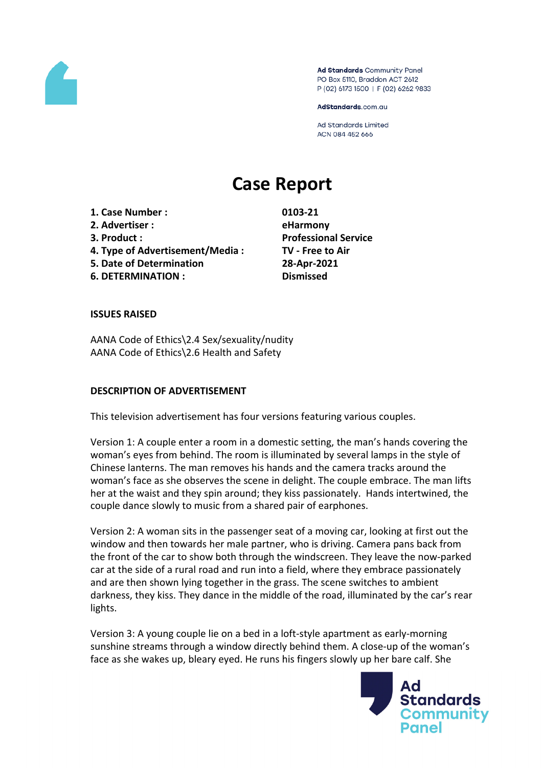

Ad Standards Community Panel PO Box 5110, Braddon ACT 2612 P (02) 6173 1500 | F (02) 6262 9833

AdStandards.com.au

**Ad Standards Limited** ACN 084 452 666

# **Case Report**

**1. Case Number : 0103-21 2. Advertiser : eHarmony 3. Product : Professional Service 4. Type of Advertisement/Media : TV - Free to Air 5. Date of Determination 28-Apr-2021 6. DETERMINATION : Dismissed**

#### **ISSUES RAISED**

AANA Code of Ethics\2.4 Sex/sexuality/nudity AANA Code of Ethics\2.6 Health and Safety

#### **DESCRIPTION OF ADVERTISEMENT**

This television advertisement has four versions featuring various couples.

Version 1: A couple enter a room in a domestic setting, the man's hands covering the woman's eyes from behind. The room is illuminated by several lamps in the style of Chinese lanterns. The man removes his hands and the camera tracks around the woman's face as she observes the scene in delight. The couple embrace. The man lifts her at the waist and they spin around; they kiss passionately. Hands intertwined, the couple dance slowly to music from a shared pair of earphones.

Version 2: A woman sits in the passenger seat of a moving car, looking at first out the window and then towards her male partner, who is driving. Camera pans back from the front of the car to show both through the windscreen. They leave the now-parked car at the side of a rural road and run into a field, where they embrace passionately and are then shown lying together in the grass. The scene switches to ambient darkness, they kiss. They dance in the middle of the road, illuminated by the car's rear lights.

Version 3: A young couple lie on a bed in a loft-style apartment as early-morning sunshine streams through a window directly behind them. A close-up of the woman's face as she wakes up, bleary eyed. He runs his fingers slowly up her bare calf. She

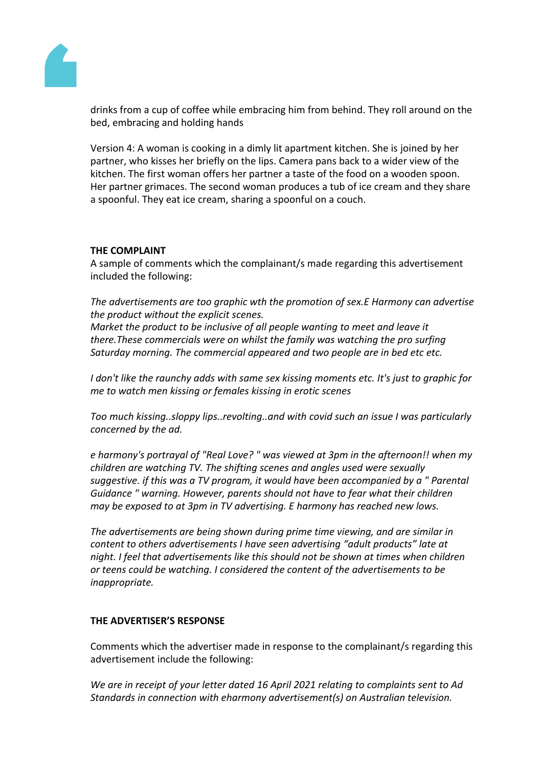

drinks from a cup of coffee while embracing him from behind. They roll around on the bed, embracing and holding hands

Version 4: A woman is cooking in a dimly lit apartment kitchen. She is joined by her partner, who kisses her briefly on the lips. Camera pans back to a wider view of the kitchen. The first woman offers her partner a taste of the food on a wooden spoon. Her partner grimaces. The second woman produces a tub of ice cream and they share a spoonful. They eat ice cream, sharing a spoonful on a couch.

## **THE COMPLAINT**

A sample of comments which the complainant/s made regarding this advertisement included the following:

*The advertisements are too graphic wth the promotion of sex.E Harmony can advertise the product without the explicit scenes.* 

*Market the product to be inclusive of all people wanting to meet and leave it there.These commercials were on whilst the family was watching the pro surfing Saturday morning. The commercial appeared and two people are in bed etc etc.*

*I don't like the raunchy adds with same sex kissing moments etc. It's just to graphic for me to watch men kissing or females kissing in erotic scenes*

*Too much kissing..sloppy lips..revolting..and with covid such an issue I was particularly concerned by the ad.*

*e harmony's portrayal of "Real Love? " was viewed at 3pm in the afternoon!! when my children are watching TV. The shifting scenes and angles used were sexually suggestive. if this was a TV program, it would have been accompanied by a " Parental Guidance " warning. However, parents should not have to fear what their children may be exposed to at 3pm in TV advertising. E harmony has reached new lows.*

*The advertisements are being shown during prime time viewing, and are similar in content to others advertisements I have seen advertising "adult products" late at night. I feel that advertisements like this should not be shown at times when children or teens could be watching. I considered the content of the advertisements to be inappropriate.*

## **THE ADVERTISER'S RESPONSE**

Comments which the advertiser made in response to the complainant/s regarding this advertisement include the following:

*We are in receipt of your letter dated 16 April 2021 relating to complaints sent to Ad Standards in connection with eharmony advertisement(s) on Australian television.*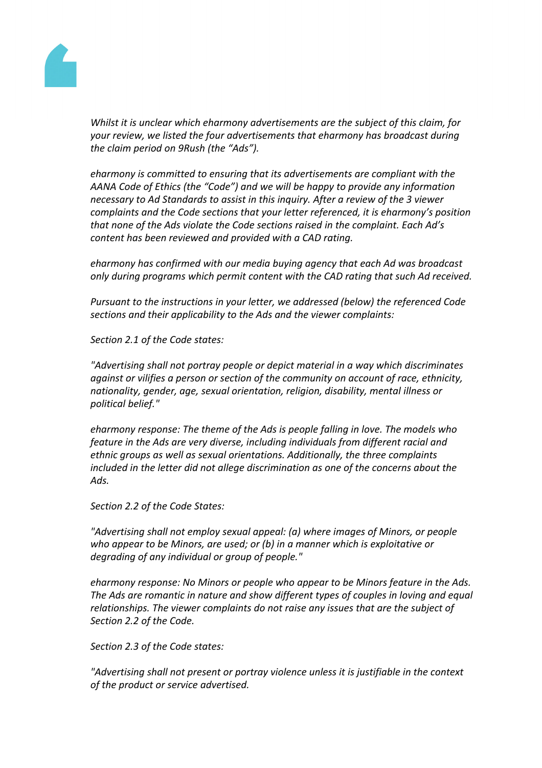

*Whilst it is unclear which eharmony advertisements are the subject of this claim, for your review, we listed the four advertisements that eharmony has broadcast during the claim period on 9Rush (the "Ads").*

*eharmony is committed to ensuring that its advertisements are compliant with the AANA Code of Ethics (the "Code") and we will be happy to provide any information necessary to Ad Standards to assist in this inquiry. After a review of the 3 viewer complaints and the Code sections that your letter referenced, it is eharmony's position that none of the Ads violate the Code sections raised in the complaint. Each Ad's content has been reviewed and provided with a CAD rating.*

*eharmony has confirmed with our media buying agency that each Ad was broadcast only during programs which permit content with the CAD rating that such Ad received.*

*Pursuant to the instructions in your letter, we addressed (below) the referenced Code sections and their applicability to the Ads and the viewer complaints:*

*Section 2.1 of the Code states:*

*"Advertising shall not portray people or depict material in a way which discriminates against or vilifies a person or section of the community on account of race, ethnicity, nationality, gender, age, sexual orientation, religion, disability, mental illness or political belief."*

*eharmony response: The theme of the Ads is people falling in love. The models who feature in the Ads are very diverse, including individuals from different racial and ethnic groups as well as sexual orientations. Additionally, the three complaints included in the letter did not allege discrimination as one of the concerns about the Ads.*

*Section 2.2 of the Code States:*

*"Advertising shall not employ sexual appeal: (a) where images of Minors, or people who appear to be Minors, are used; or (b) in a manner which is exploitative or degrading of any individual or group of people."*

*eharmony response: No Minors or people who appear to be Minors feature in the Ads. The Ads are romantic in nature and show different types of couples in loving and equal relationships. The viewer complaints do not raise any issues that are the subject of Section 2.2 of the Code.*

*Section 2.3 of the Code states:*

*"Advertising shall not present or portray violence unless it is justifiable in the context of the product or service advertised.*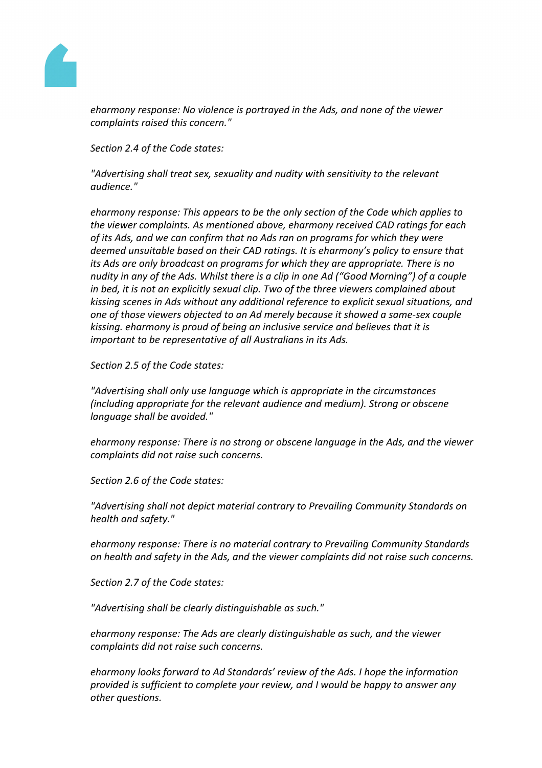

*eharmony response: No violence is portrayed in the Ads, and none of the viewer complaints raised this concern."*

*Section 2.4 of the Code states:*

*"Advertising shall treat sex, sexuality and nudity with sensitivity to the relevant audience."*

*eharmony response: This appears to be the only section of the Code which applies to the viewer complaints. As mentioned above, eharmony received CAD ratings for each of its Ads, and we can confirm that no Ads ran on programs for which they were deemed unsuitable based on their CAD ratings. It is eharmony's policy to ensure that its Ads are only broadcast on programs for which they are appropriate. There is no nudity in any of the Ads. Whilst there is a clip in one Ad ("Good Morning") of a couple in bed, it is not an explicitly sexual clip. Two of the three viewers complained about kissing scenes in Ads without any additional reference to explicit sexual situations, and one of those viewers objected to an Ad merely because it showed a same-sex couple kissing. eharmony is proud of being an inclusive service and believes that it is important to be representative of all Australians in its Ads.*

*Section 2.5 of the Code states:*

*"Advertising shall only use language which is appropriate in the circumstances (including appropriate for the relevant audience and medium). Strong or obscene language shall be avoided."*

*eharmony response: There is no strong or obscene language in the Ads, and the viewer complaints did not raise such concerns.*

*Section 2.6 of the Code states:*

*"Advertising shall not depict material contrary to Prevailing Community Standards on health and safety."*

*eharmony response: There is no material contrary to Prevailing Community Standards on health and safety in the Ads, and the viewer complaints did not raise such concerns.*

*Section 2.7 of the Code states:*

*"Advertising shall be clearly distinguishable as such."*

*eharmony response: The Ads are clearly distinguishable as such, and the viewer complaints did not raise such concerns.*

*eharmony looks forward to Ad Standards' review of the Ads. I hope the information provided is sufficient to complete your review, and I would be happy to answer any other questions.*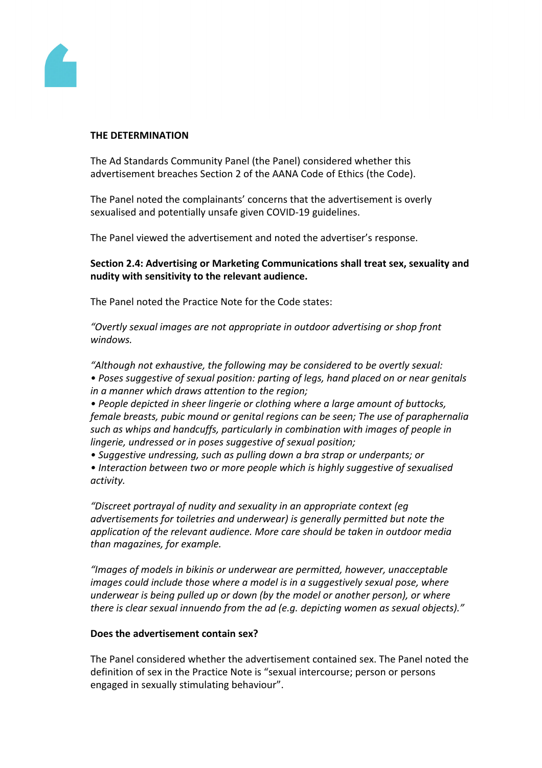

#### **THE DETERMINATION**

The Ad Standards Community Panel (the Panel) considered whether this advertisement breaches Section 2 of the AANA Code of Ethics (the Code).

The Panel noted the complainants' concerns that the advertisement is overly sexualised and potentially unsafe given COVID-19 guidelines.

The Panel viewed the advertisement and noted the advertiser's response.

# **Section 2.4: Advertising or Marketing Communications shall treat sex, sexuality and nudity with sensitivity to the relevant audience.**

The Panel noted the Practice Note for the Code states:

*"Overtly sexual images are not appropriate in outdoor advertising or shop front windows.*

*"Although not exhaustive, the following may be considered to be overtly sexual:*

*• Poses suggestive of sexual position: parting of legs, hand placed on or near genitals in a manner which draws attention to the region;*

*• People depicted in sheer lingerie or clothing where a large amount of buttocks, female breasts, pubic mound or genital regions can be seen; The use of paraphernalia such as whips and handcuffs, particularly in combination with images of people in lingerie, undressed or in poses suggestive of sexual position;*

*• Suggestive undressing, such as pulling down a bra strap or underpants; or*

*• Interaction between two or more people which is highly suggestive of sexualised activity.*

*"Discreet portrayal of nudity and sexuality in an appropriate context (eg advertisements for toiletries and underwear) is generally permitted but note the application of the relevant audience. More care should be taken in outdoor media than magazines, for example.*

*"Images of models in bikinis or underwear are permitted, however, unacceptable images could include those where a model is in a suggestively sexual pose, where underwear is being pulled up or down (by the model or another person), or where there is clear sexual innuendo from the ad (e.g. depicting women as sexual objects)."*

## **Does the advertisement contain sex?**

The Panel considered whether the advertisement contained sex. The Panel noted the definition of sex in the Practice Note is "sexual intercourse; person or persons engaged in sexually stimulating behaviour".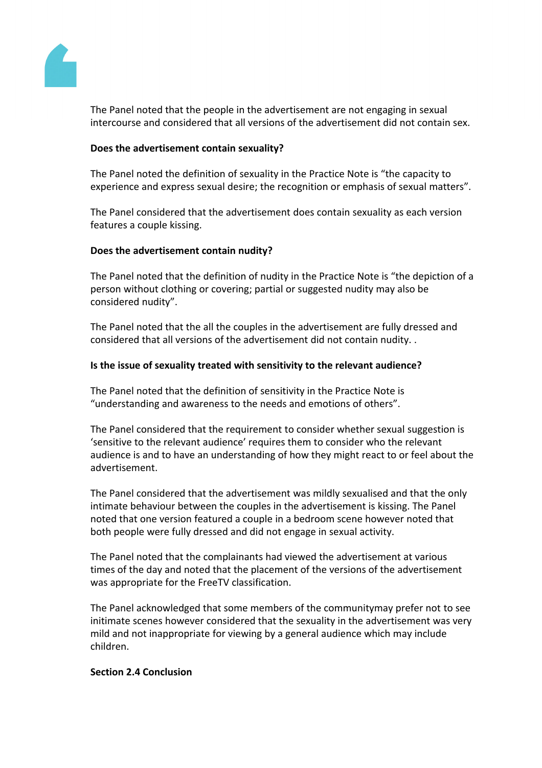

The Panel noted that the people in the advertisement are not engaging in sexual intercourse and considered that all versions of the advertisement did not contain sex.

## **Does the advertisement contain sexuality?**

The Panel noted the definition of sexuality in the Practice Note is "the capacity to experience and express sexual desire; the recognition or emphasis of sexual matters".

The Panel considered that the advertisement does contain sexuality as each version features a couple kissing.

#### **Does the advertisement contain nudity?**

The Panel noted that the definition of nudity in the Practice Note is "the depiction of a person without clothing or covering; partial or suggested nudity may also be considered nudity".

The Panel noted that the all the couples in the advertisement are fully dressed and considered that all versions of the advertisement did not contain nudity. .

#### **Is the issue of sexuality treated with sensitivity to the relevant audience?**

The Panel noted that the definition of sensitivity in the Practice Note is "understanding and awareness to the needs and emotions of others".

The Panel considered that the requirement to consider whether sexual suggestion is 'sensitive to the relevant audience' requires them to consider who the relevant audience is and to have an understanding of how they might react to or feel about the advertisement.

The Panel considered that the advertisement was mildly sexualised and that the only intimate behaviour between the couples in the advertisement is kissing. The Panel noted that one version featured a couple in a bedroom scene however noted that both people were fully dressed and did not engage in sexual activity.

The Panel noted that the complainants had viewed the advertisement at various times of the day and noted that the placement of the versions of the advertisement was appropriate for the FreeTV classification.

The Panel acknowledged that some members of the communitymay prefer not to see initimate scenes however considered that the sexuality in the advertisement was very mild and not inappropriate for viewing by a general audience which may include children.

#### **Section 2.4 Conclusion**